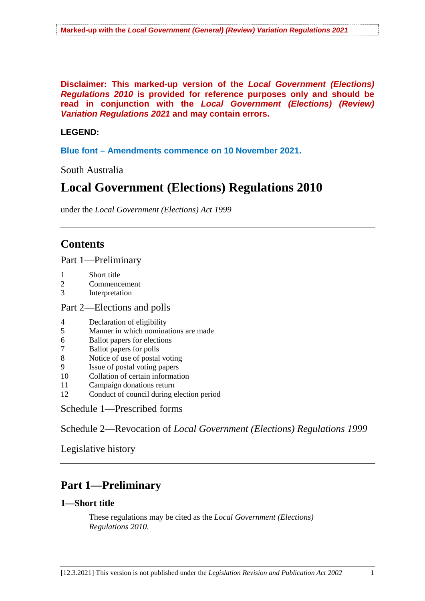**Disclaimer: This marked-up version of the** *Local Government (Elections) Regulations 2010* **is provided for reference purposes only and should be read in conjunction with the** *Local Government (Elections) (Review) Variation Regulations 2021* **and may contain errors.**

## **LEGEND:**

**Blue font – Amendments commence on 10 November 2021.**

South Australia

# **Local Government (Elections) Regulations 2010**

under the *Local Government (Elections) Act 1999*

## **Contents**

Part 1—Preliminary

- 1 Short title
- 2 Commencement<br>3 Interpretation
- Interpretation

## Part 2—Elections and polls

- 4 Declaration of eligibility
- 5 Manner in which nominations are made<br>6 Ballot papers for elections
- 6 Ballot papers for elections
- 7 Ballot papers for polls
- 8 Notice of use of postal voting
- 9 Issue of postal voting papers
- 10 Collation of certain information
- 11 Campaign donations return
- 12 Conduct of council during election period

Schedule 1—Prescribed forms

Schedule 2—Revocation of *Local Government (Elections) Regulations 1999*

Legislative history

## **Part 1—Preliminary**

## **1—Short title**

These regulations may be cited as the *Local Government (Elections) Regulations 2010*.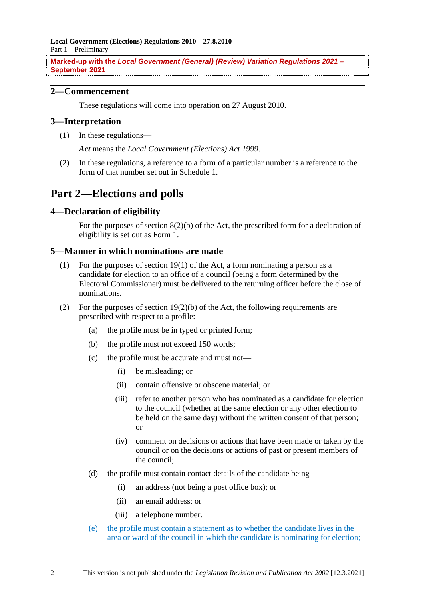**Local Government (Elections) Regulations 2010—27.8.2010** Part 1—Preliminary

**Marked-up with the** *Local Government (General) (Review) Variation Regulations 2021 –* **September 2021**

## **2—Commencement**

These regulations will come into operation on 27 August 2010.

## **3—Interpretation**

(1) In these regulations—

*Act* means the *Local Government (Elections) Act 1999*.

(2) In these regulations, a reference to a form of a particular number is a reference to the form of that number set out in Schedule 1.

## **Part 2—Elections and polls**

### **4—Declaration of eligibility**

For the purposes of section 8(2)(b) of the Act, the prescribed form for a declaration of eligibility is set out as Form 1.

### **5—Manner in which nominations are made**

- (1) For the purposes of section 19(1) of the Act, a form nominating a person as a candidate for election to an office of a council (being a form determined by the Electoral Commissioner) must be delivered to the returning officer before the close of nominations.
- (2) For the purposes of section  $19(2)(b)$  of the Act, the following requirements are prescribed with respect to a profile:
	- (a) the profile must be in typed or printed form;
	- (b) the profile must not exceed 150 words;
	- (c) the profile must be accurate and must not—
		- (i) be misleading; or
		- (ii) contain offensive or obscene material; or
		- (iii) refer to another person who has nominated as a candidate for election to the council (whether at the same election or any other election to be held on the same day) without the written consent of that person; or
		- (iv) comment on decisions or actions that have been made or taken by the council or on the decisions or actions of past or present members of the council;
	- (d) the profile must contain contact details of the candidate being—
		- (i) an address (not being a post office box); or
		- (ii) an email address; or
		- (iii) a telephone number.
	- (e) the profile must contain a statement as to whether the candidate lives in the area or ward of the council in which the candidate is nominating for election;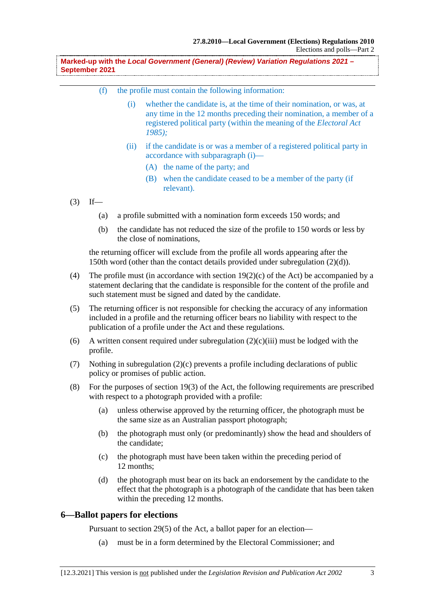**Marked-up with the** *Local Government (General) (Review) Variation Regulations 2021 –* **September 2021**

- (f) the profile must contain the following information:
	- (i) whether the candidate is, at the time of their nomination, or was, at any time in the 12 months preceding their nomination, a member of a registered political party (within the meaning of the *Electoral Act 1985);*
	- (ii) if the candidate is or was a member of a registered political party in accordance with subparagraph (i)—
		- (A) the name of the party; and
		- (B) when the candidate ceased to be a member of the party (if relevant).
- $(3)$  If—
	- (a) a profile submitted with a nomination form exceeds 150 words; and
	- (b) the candidate has not reduced the size of the profile to 150 words or less by the close of nominations,

the returning officer will exclude from the profile all words appearing after the 150th word (other than the contact details provided under subregulation (2)(d)).

- (4) The profile must (in accordance with section 19(2)(c) of the Act) be accompanied by a statement declaring that the candidate is responsible for the content of the profile and such statement must be signed and dated by the candidate.
- (5) The returning officer is not responsible for checking the accuracy of any information included in a profile and the returning officer bears no liability with respect to the publication of a profile under the Act and these regulations.
- (6) A written consent required under subregulation  $(2)(c)(iii)$  must be lodged with the profile.
- (7) Nothing in subregulation (2)(c) prevents a profile including declarations of public policy or promises of public action.
- (8) For the purposes of section 19(3) of the Act, the following requirements are prescribed with respect to a photograph provided with a profile:
	- (a) unless otherwise approved by the returning officer, the photograph must be the same size as an Australian passport photograph;
	- (b) the photograph must only (or predominantly) show the head and shoulders of the candidate;
	- (c) the photograph must have been taken within the preceding period of 12 months;
	- (d) the photograph must bear on its back an endorsement by the candidate to the effect that the photograph is a photograph of the candidate that has been taken within the preceding 12 months.

## **6—Ballot papers for elections**

Pursuant to section 29(5) of the Act, a ballot paper for an election—

(a) must be in a form determined by the Electoral Commissioner; and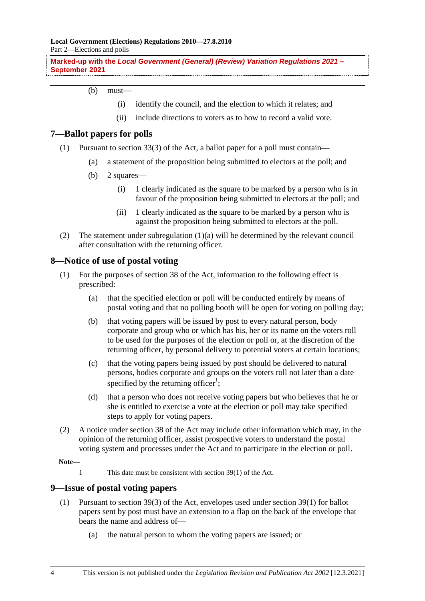**Local Government (Elections) Regulations 2010—27.8.2010** Part 2—Elections and polls

**Marked-up with the** *Local Government (General) (Review) Variation Regulations 2021 –* **September 2021**

#### (b) must—

- (i) identify the council, and the election to which it relates; and
- (ii) include directions to voters as to how to record a valid vote.

### **7—Ballot papers for polls**

- (1) Pursuant to section 33(3) of the Act, a ballot paper for a poll must contain—
	- (a) a statement of the proposition being submitted to electors at the poll; and
	- (b) 2 squares—
		- (i) 1 clearly indicated as the square to be marked by a person who is in favour of the proposition being submitted to electors at the poll; and
		- (ii) 1 clearly indicated as the square to be marked by a person who is against the proposition being submitted to electors at the poll.
- (2) The statement under subregulation (1)(a) will be determined by the relevant council after consultation with the returning officer.

## **8—Notice of use of postal voting**

- (1) For the purposes of section 38 of the Act, information to the following effect is prescribed:
	- (a) that the specified election or poll will be conducted entirely by means of postal voting and that no polling booth will be open for voting on polling day;
	- (b) that voting papers will be issued by post to every natural person, body corporate and group who or which has his, her or its name on the voters roll to be used for the purposes of the election or poll or, at the discretion of the returning officer, by personal delivery to potential voters at certain locations;
	- (c) that the voting papers being issued by post should be delivered to natural persons, bodies corporate and groups on the voters roll not later than a date specified by the returning officer<sup>1</sup>;
	- (d) that a person who does not receive voting papers but who believes that he or she is entitled to exercise a vote at the election or poll may take specified steps to apply for voting papers.
- (2) A notice under section 38 of the Act may include other information which may, in the opinion of the returning officer, assist prospective voters to understand the postal voting system and processes under the Act and to participate in the election or poll.

**Note—**

1 This date must be consistent with section 39(1) of the Act.

## **9—Issue of postal voting papers**

- (1) Pursuant to section 39(3) of the Act, envelopes used under section 39(1) for ballot papers sent by post must have an extension to a flap on the back of the envelope that bears the name and address of—
	- (a) the natural person to whom the voting papers are issued; or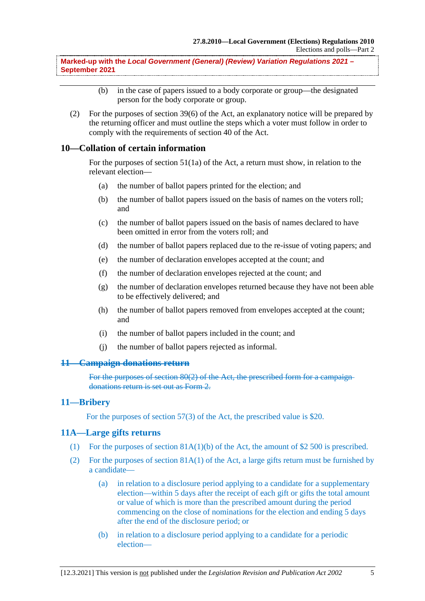**Marked-up with the** *Local Government (General) (Review) Variation Regulations 2021 –* **September 2021**

- (b) in the case of papers issued to a body corporate or group—the designated person for the body corporate or group.
- (2) For the purposes of section 39(6) of the Act, an explanatory notice will be prepared by the returning officer and must outline the steps which a voter must follow in order to comply with the requirements of section 40 of the Act.

## **10—Collation of certain information**

For the purposes of section 51(1a) of the Act, a return must show, in relation to the relevant election—

- (a) the number of ballot papers printed for the election; and
- (b) the number of ballot papers issued on the basis of names on the voters roll; and
- (c) the number of ballot papers issued on the basis of names declared to have been omitted in error from the voters roll; and
- (d) the number of ballot papers replaced due to the re-issue of voting papers; and
- (e) the number of declaration envelopes accepted at the count; and
- (f) the number of declaration envelopes rejected at the count; and
- (g) the number of declaration envelopes returned because they have not been able to be effectively delivered; and
- (h) the number of ballot papers removed from envelopes accepted at the count; and
- (i) the number of ballot papers included in the count; and
- (j) the number of ballot papers rejected as informal.

### **11—Campaign donations return**

For the purposes of section 80(2) of the Act, the prescribed form for a campaign donations return is set out as Form 2.

#### **11—Bribery**

For the purposes of section 57(3) of the Act, the prescribed value is \$20.

#### **11A—Large gifts returns**

- (1) For the purposes of section  $81A(1)(b)$  of the Act, the amount of \$2 500 is prescribed.
- (2) For the purposes of section  $81A(1)$  of the Act, a large gifts return must be furnished by a candidate—
	- (a) in relation to a disclosure period applying to a candidate for a supplementary election—within 5 days after the receipt of each gift or gifts the total amount or value of which is more than the prescribed amount during the period commencing on the close of nominations for the election and ending 5 days after the end of the disclosure period; or
	- (b) in relation to a disclosure period applying to a candidate for a periodic election—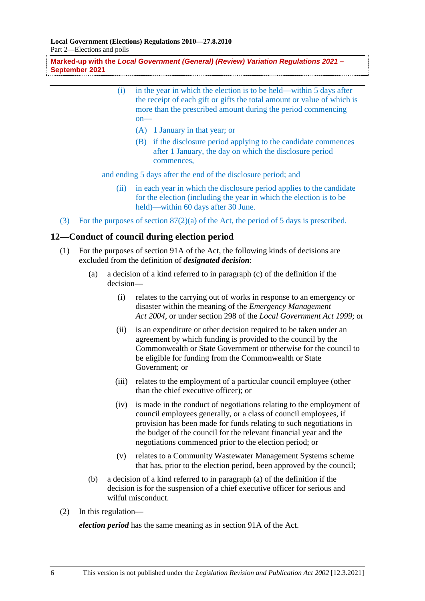**Local Government (Elections) Regulations 2010—27.8.2010** Part 2—Elections and polls

**Marked-up with the** *Local Government (General) (Review) Variation Regulations 2021 –* **September 2021**

- (i) in the year in which the election is to be held—within 5 days after the receipt of each gift or gifts the total amount or value of which is more than the prescribed amount during the period commencing  $on-$ 
	- (A) 1 January in that year; or
	- (B) if the disclosure period applying to the candidate commences after 1 January, the day on which the disclosure period commences,

and ending 5 days after the end of the disclosure period; and

- (ii) in each year in which the disclosure period applies to the candidate for the election (including the year in which the election is to be held)—within 60 days after 30 June.
- (3) For the purposes of section 87(2)(a) of the Act, the period of 5 days is prescribed.

### **12—Conduct of council during election period**

- (1) For the purposes of section 91A of the Act, the following kinds of decisions are excluded from the definition of *designated decision*:
	- (a) a decision of a kind referred to in paragraph (c) of the definition if the decision—
		- (i) relates to the carrying out of works in response to an emergency or disaster within the meaning of the *Emergency Management Act 2004*, or under section 298 of the *Local Government Act 1999*; or
		- (ii) is an expenditure or other decision required to be taken under an agreement by which funding is provided to the council by the Commonwealth or State Government or otherwise for the council to be eligible for funding from the Commonwealth or State Government; or
		- (iii) relates to the employment of a particular council employee (other than the chief executive officer); or
		- (iv) is made in the conduct of negotiations relating to the employment of council employees generally, or a class of council employees, if provision has been made for funds relating to such negotiations in the budget of the council for the relevant financial year and the negotiations commenced prior to the election period; or
		- (v) relates to a Community Wastewater Management Systems scheme that has, prior to the election period, been approved by the council;
	- (b) a decision of a kind referred to in paragraph (a) of the definition if the decision is for the suspension of a chief executive officer for serious and wilful misconduct.
- (2) In this regulation—

*election period* has the same meaning as in section 91A of the Act.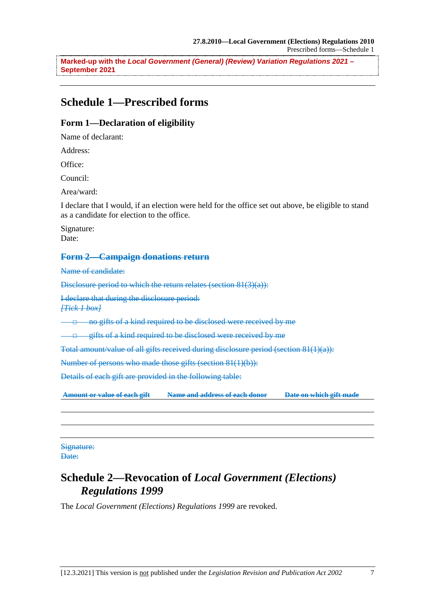**Marked-up with the** *Local Government (General) (Review) Variation Regulations 2021 –* **September 2021**

## **Schedule 1—Prescribed forms**

## **Form 1—Declaration of eligibility**

Name of declarant:

Address:

Office:

Council:

Area/ward:

I declare that I would, if an election were held for the office set out above, be eligible to stand as a candidate for election to the office.

Signature: Date:

### **Form 2—Campaign donations return**

Name of candidate:

Disclosure period to which the return relates (section 81(3)(a)):

I declare that during the disclosure period:

*[Tick 1 box]*

□ no gifts of a kind required to be disclosed were received by me

gifts of a kind required to be disclosed were received by me

Total amount/value of all gifts received during disclosure period (section 81(1)(a)):

Number of persons who made those gifts (section 81(1)(b)):

Details of each gift are provided in the following table:

**Amount or value of each gift Name and address of each donor Date on which gift made**

Signature: Date:

## **Schedule 2—Revocation of** *Local Government (Elections) Regulations 1999*

The *Local Government (Elections) Regulations 1999* are revoked.